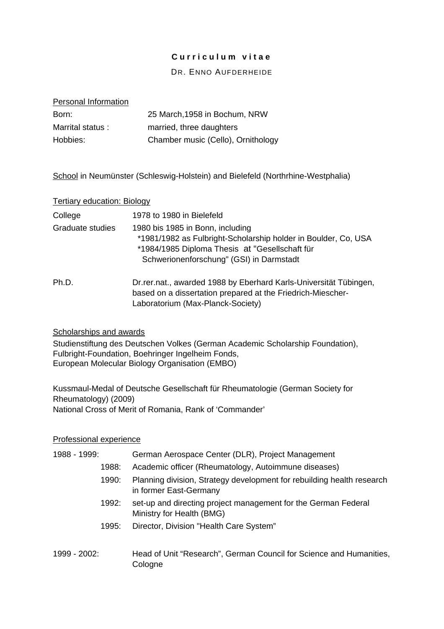# **Curriculum vitae**

# DR. ENNO AUFDERHEIDE

# Personal Information

| Born:            | 25 March, 1958 in Bochum, NRW      |
|------------------|------------------------------------|
| Marrital status: | married, three daughters           |
| Hobbies:         | Chamber music (Cello), Ornithology |

School in Neumünster (Schleswig-Holstein) and Bielefeld (Northrhine-Westphalia)

### Tertiary education: Biology

| College          | 1978 to 1980 in Bielefeld                                                                                                                                                                        |
|------------------|--------------------------------------------------------------------------------------------------------------------------------------------------------------------------------------------------|
| Graduate studies | 1980 bis 1985 in Bonn, including<br>*1981/1982 as Fulbright-Scholarship holder in Boulder, Co, USA<br>*1984/1985 Diploma Thesis at "Gesellschaft für<br>Schwerionenforschung" (GSI) in Darmstadt |
| Ph.D.            | Dr. rer. nat., awarded 1988 by Eberhard Karls-Universität Tübingen,<br>based on a dissertation prepared at the Friedrich-Miescher-<br>Laboratorium (Max-Planck-Society)                          |

### Scholarships and awards

Studienstiftung des Deutschen Volkes (German Academic Scholarship Foundation), Fulbright-Foundation, Boehringer Ingelheim Fonds, European Molecular Biology Organisation (EMBO)

Kussmaul-Medal of Deutsche Gesellschaft für Rheumatologie (German Society for Rheumatology) (2009) National Cross of Merit of Romania, Rank of 'Commander'

# Professional experience

| 1988 - 1999: |       | German Aerospace Center (DLR), Project Management                                                |
|--------------|-------|--------------------------------------------------------------------------------------------------|
|              | 1988: | Academic officer (Rheumatology, Autoimmune diseases)                                             |
|              | 1990: | Planning division, Strategy development for rebuilding health research<br>in former East-Germany |
|              | 1992: | set-up and directing project management for the German Federal<br>Ministry for Health (BMG)      |
|              | 1995: | Director, Division "Health Care System"                                                          |
| 1999 - 2002: |       | Head of Unit "Research", German Council for Science and Humanities,<br>Cologne                   |